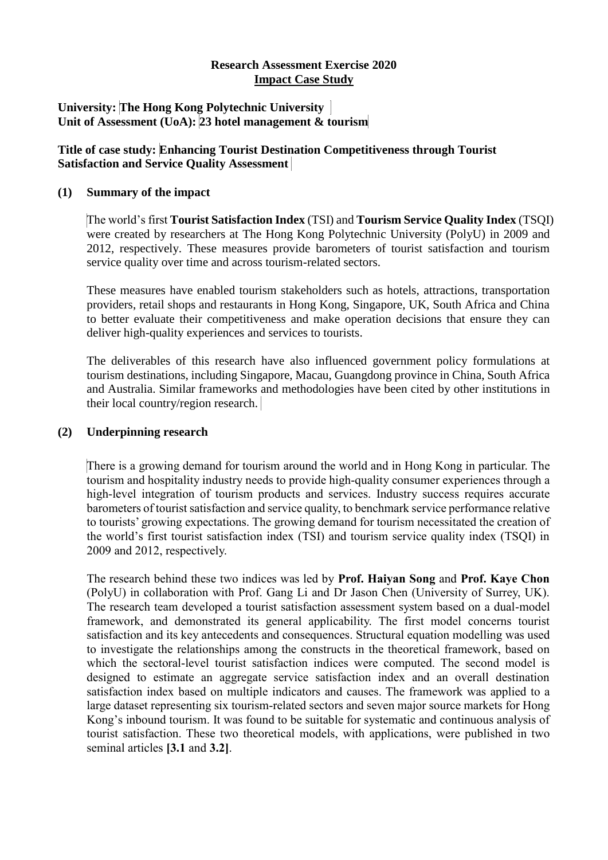## **Research Assessment Exercise 2020 Impact Case Study**

#### **University: The Hong Kong Polytechnic University Unit of Assessment (UoA): 23 hotel management & tourism**

## **Title of case study: Enhancing Tourist Destination Competitiveness through Tourist Satisfaction and Service Quality Assessment**

#### **(1) Summary of the impact**

The world's first **Tourist Satisfaction Index** (TSI) and **Tourism Service Quality Index** (TSQI) were created by researchers at The Hong Kong Polytechnic University (PolyU) in 2009 and 2012, respectively. These measures provide barometers of tourist satisfaction and tourism service quality over time and across tourism-related sectors.

These measures have enabled tourism stakeholders such as hotels, attractions, transportation providers, retail shops and restaurants in Hong Kong, Singapore, UK, South Africa and China to better evaluate their competitiveness and make operation decisions that ensure they can deliver high-quality experiences and services to tourists.

The deliverables of this research have also influenced government policy formulations at tourism destinations, including Singapore, Macau, Guangdong province in China, South Africa and Australia. Similar frameworks and methodologies have been cited by other institutions in their local country/region research.

#### **(2) Underpinning research**

There is a growing demand for tourism around the world and in Hong Kong in particular. The tourism and hospitality industry needs to provide high-quality consumer experiences through a high-level integration of tourism products and services. Industry success requires accurate barometers of tourist satisfaction and service quality, to benchmark service performance relative to tourists' growing expectations. The growing demand for tourism necessitated the creation of the world's first tourist satisfaction index (TSI) and tourism service quality index (TSQI) in 2009 and 2012, respectively.

The research behind these two indices was led by **Prof. Haiyan Song** and **Prof. Kaye Chon**  (PolyU) in collaboration with Prof. Gang Li and Dr Jason Chen (University of Surrey, UK). The research team developed a tourist satisfaction assessment system based on a dual-model framework, and demonstrated its general applicability. The first model concerns tourist satisfaction and its key antecedents and consequences. Structural equation modelling was used to investigate the relationships among the constructs in the theoretical framework, based on which the sectoral-level tourist satisfaction indices were computed. The second model is designed to estimate an aggregate service satisfaction index and an overall destination satisfaction index based on multiple indicators and causes. The framework was applied to a large dataset representing six tourism-related sectors and seven major source markets for Hong Kong's inbound tourism. It was found to be suitable for systematic and continuous analysis of tourist satisfaction. These two theoretical models, with applications, were published in two seminal articles **[3.1** and **3.2]**.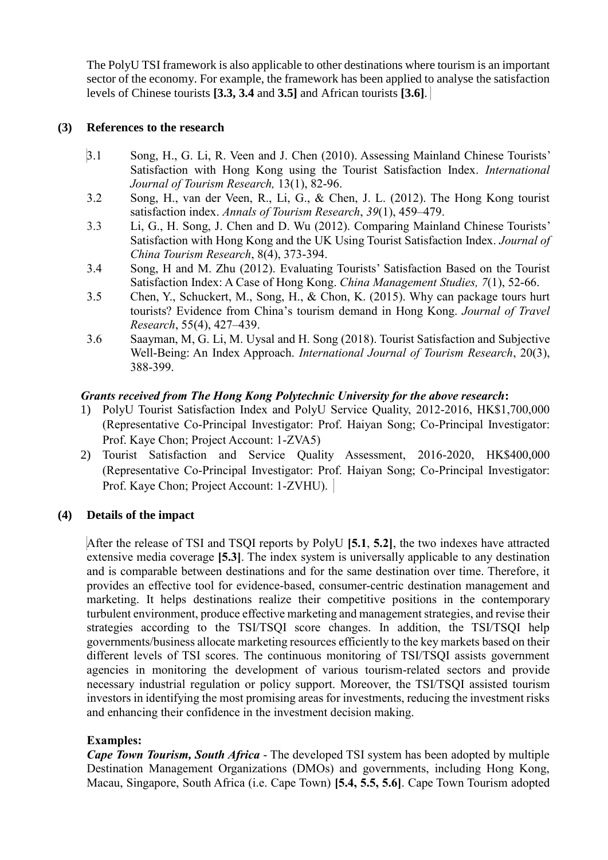The PolyU TSI framework is also applicable to other destinations where tourism is an important sector of the economy. For example, the framework has been applied to analyse the satisfaction levels of Chinese tourists **[3.3, 3.4** and **3.5]** and African tourists **[3.6]**.

# **(3) References to the research**

- 3.1 Song, H., G. Li, R. Veen and J. Chen (2010). Assessing Mainland Chinese Tourists' Satisfaction with Hong Kong using the Tourist Satisfaction Index. *International Journal of Tourism Research,* 13(1), 82-96.
- 3.2 Song, H., van der Veen, R., Li, G., & Chen, J. L. (2012). The Hong Kong tourist satisfaction index. *Annals of Tourism Research*, *39*(1), 459–479.
- 3.3 Li, G., H. Song, J. Chen and D. Wu (2012). Comparing Mainland Chinese Tourists' Satisfaction with Hong Kong and the UK Using Tourist Satisfaction Index. *Journal of China Tourism Research*, 8(4), 373-394.
- 3.4 Song, H and M. Zhu (2012). Evaluating Tourists' Satisfaction Based on the Tourist Satisfaction Index: A Case of Hong Kong. *China Management Studies, 7*(1), 52-66.
- 3.5 Chen, Y., Schuckert, M., Song, H., & Chon, K. (2015). Why can package tours hurt tourists? Evidence from China's tourism demand in Hong Kong. *Journal of Travel Research*, 55(4), 427–439.
- 3.6 Saayman, M, G. Li, M. Uysal and H. Song (2018). Tourist Satisfaction and Subjective Well-Being: An Index Approach. *International Journal of Tourism Research*, 20(3), 388-399.

### *Grants received from The Hong Kong Polytechnic University for the above research***:**

- 1) PolyU Tourist Satisfaction Index and PolyU Service Quality, 2012-2016, HK\$1,700,000 (Representative Co-Principal Investigator: Prof. Haiyan Song; Co-Principal Investigator: Prof. Kaye Chon; Project Account: 1-ZVA5)
- 2) Tourist Satisfaction and Service Quality Assessment, 2016-2020, HK\$400,000 (Representative Co-Principal Investigator: Prof. Haiyan Song; Co-Principal Investigator: Prof. Kaye Chon; Project Account: 1-ZVHU).

# **(4) Details of the impact**

After the release of TSI and TSQI reports by PolyU **[5.1**, **5.2]**, the two indexes have attracted extensive media coverage **[5.3]**. The index system is universally applicable to any destination and is comparable between destinations and for the same destination over time. Therefore, it provides an effective tool for evidence-based, consumer-centric destination management and marketing. It helps destinations realize their competitive positions in the contemporary turbulent environment, produce effective marketing and management strategies, and revise their strategies according to the TSI/TSQI score changes. In addition, the TSI/TSQI help governments/business allocate marketing resources efficiently to the key markets based on their different levels of TSI scores. The continuous monitoring of TSI/TSQI assists government agencies in monitoring the development of various tourism-related sectors and provide necessary industrial regulation or policy support. Moreover, the TSI/TSQI assisted tourism investors in identifying the most promising areas for investments, reducing the investment risks and enhancing their confidence in the investment decision making.

#### **Examples:**

*Cape Town Tourism, South Africa* - The developed TSI system has been adopted by multiple Destination Management Organizations (DMOs) and governments, including Hong Kong, Macau, Singapore, South Africa (i.e. Cape Town) **[5.4, 5.5, 5.6]**. Cape Town Tourism adopted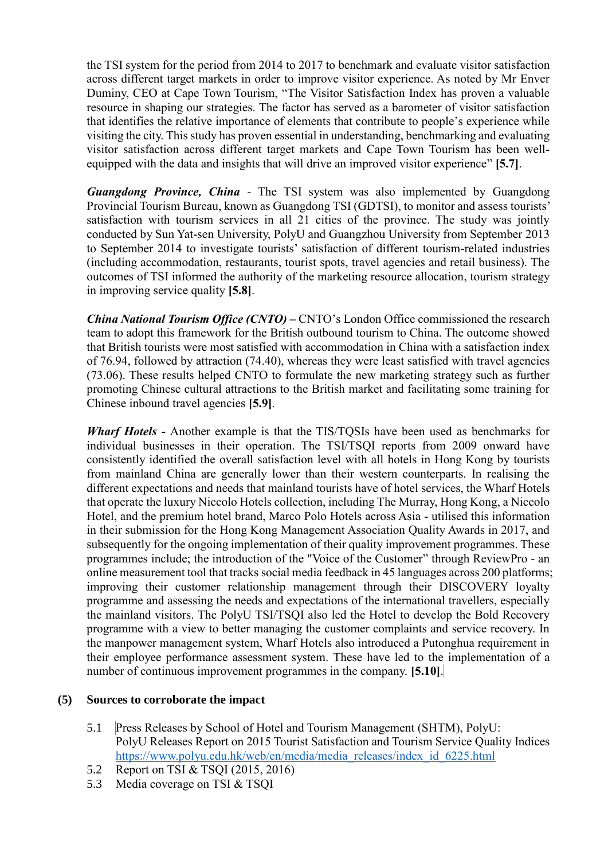the TSI system for the period from 2014 to 2017 to benchmark and evaluate visitor satisfaction across different target markets in order to improve visitor experience. As noted by Mr Enver Duminy, CEO at Cape Town Tourism, "The Visitor Satisfaction Index has proven a valuable resource in shaping our strategies. The factor has served as a barometer of visitor satisfaction that identifies the relative importance of elements that contribute to people's experience while visiting the city. This study has proven essential in understanding, benchmarking and evaluating visitor satisfaction across different target markets and Cape Town Tourism has been wellequipped with the data and insights that will drive an improved visitor experience" **[5.7]**.

*Guangdong Province, China* - The TSI system was also implemented by Guangdong Provincial Tourism Bureau, known as Guangdong TSI (GDTSI), to monitor and assess tourists' satisfaction with tourism services in all 21 cities of the province. The study was jointly conducted by Sun Yat-sen University, PolyU and Guangzhou University from September 2013 to September 2014 to investigate tourists' satisfaction of different tourism-related industries (including accommodation, restaurants, tourist spots, travel agencies and retail business). The outcomes of TSI informed the authority of the marketing resource allocation, tourism strategy in improving service quality **[5.8]**.

*China National Tourism Office (CNTO)* **–** CNTO's London Office commissioned the research team to adopt this framework for the British outbound tourism to China. The outcome showed that British tourists were most satisfied with accommodation in China with a satisfaction index of 76.94, followed by attraction (74.40), whereas they were least satisfied with travel agencies (73.06). These results helped CNTO to formulate the new marketing strategy such as further promoting Chinese cultural attractions to the British market and facilitating some training for Chinese inbound travel agencies **[5.9]**.

*Wharf Hotels* **-** Another example is that the TIS/TQSIs have been used as benchmarks for individual businesses in their operation. The TSI/TSQI reports from 2009 onward have consistently identified the overall satisfaction level with all hotels in Hong Kong by tourists from mainland China are generally lower than their western counterparts. In realising the different expectations and needs that mainland tourists have of hotel services, the Wharf Hotels that operate the luxury Niccolo Hotels collection, including The Murray, Hong Kong, a Niccolo Hotel, and the premium hotel brand, Marco Polo Hotels across Asia - utilised this information in their submission for the Hong Kong Management Association Quality Awards in 2017, and subsequently for the ongoing implementation of their quality improvement programmes. These programmes include; the introduction of the "Voice of the Customer" through ReviewPro - an online measurement tool that tracks social media feedback in 45 languages across 200 platforms; improving their customer relationship management through their DISCOVERY loyalty programme and assessing the needs and expectations of the international travellers, especially the mainland visitors. The PolyU TSI/TSQI also led the Hotel to develop the Bold Recovery programme with a view to better managing the customer complaints and service recovery. In the manpower management system, Wharf Hotels also introduced a Putonghua requirement in their employee performance assessment system. These have led to the implementation of a number of continuous improvement programmes in the company. **[5.10]**.

# **(5) Sources to corroborate the impact**

- 5.1 Press Releases by School of Hotel and Tourism Management (SHTM), PolyU: PolyU Releases Report on 2015 Tourist Satisfaction and Tourism Service Quality Indices [https://www.polyu.edu.hk/web/en/media/media\\_releases/index\\_id\\_6225.html](https://www.polyu.edu.hk/web/en/media/media_releases/index_id_6225.html)
- 5.2 Report on TSI & TSQI (2015, 2016)
- 5.3 Media coverage on TSI & TSQI